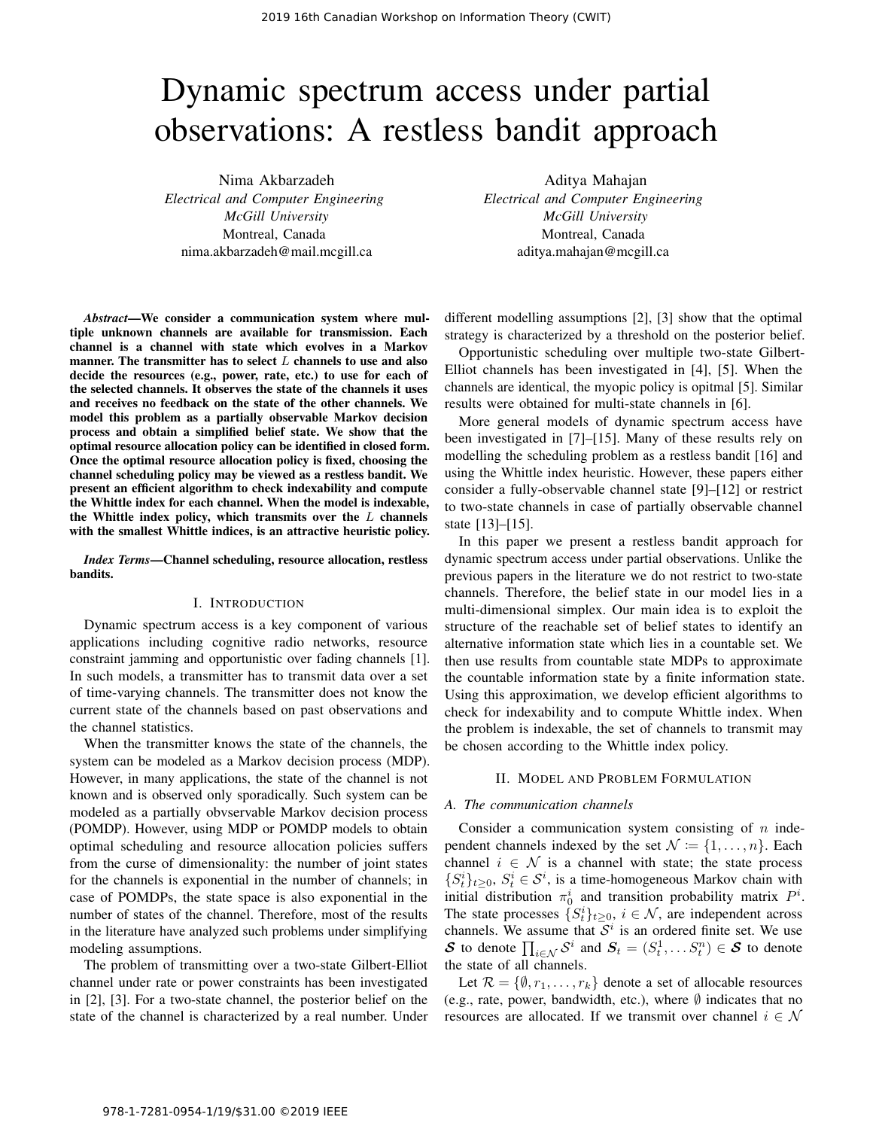# Dynamic spectrum access under partial observations: A restless bandit approach

Nima Akbarzadeh *Electrical and Computer Engineering McGill University* Montreal, Canada nima.akbarzadeh@mail.mcgill.ca

*Abstract*—We consider a communication system where multiple unknown channels are available for transmission. Each channel is a channel with state which evolves in a Markov manner. The transmitter has to select  $L$  channels to use and also decide the resources (e.g., power, rate, etc.) to use for each of the selected channels. It observes the state of the channels it uses and receives no feedback on the state of the other channels. We model this problem as a partially observable Markov decision process and obtain a simplified belief state. We show that the optimal resource allocation policy can be identified in closed form. Once the optimal resource allocation policy is fixed, choosing the channel scheduling policy may be viewed as a restless bandit. We present an efficient algorithm to check indexability and compute the Whittle index for each channel. When the model is indexable, the Whittle index policy, which transmits over the  $L$  channels with the smallest Whittle indices, is an attractive heuristic policy.

*Index Terms*—Channel scheduling, resource allocation, restless bandits.

## I. INTRODUCTION

Dynamic spectrum access is a key component of various applications including cognitive radio networks, resource constraint jamming and opportunistic over fading channels [1]. In such models, a transmitter has to transmit data over a set of time-varying channels. The transmitter does not know the current state of the channels based on past observations and the channel statistics.

When the transmitter knows the state of the channels, the system can be modeled as a Markov decision process (MDP). However, in many applications, the state of the channel is not known and is observed only sporadically. Such system can be modeled as a partially obvservable Markov decision process (POMDP). However, using MDP or POMDP models to obtain optimal scheduling and resource allocation policies suffers from the curse of dimensionality: the number of joint states for the channels is exponential in the number of channels; in case of POMDPs, the state space is also exponential in the number of states of the channel. Therefore, most of the results in the literature have analyzed such problems under simplifying modeling assumptions.

The problem of transmitting over a two-state Gilbert-Elliot channel under rate or power constraints has been investigated in [2], [3]. For a two-state channel, the posterior belief on the state of the channel is characterized by a real number. Under

Aditya Mahajan *Electrical and Computer Engineering McGill University* Montreal, Canada aditya.mahajan@mcgill.ca

different modelling assumptions [2], [3] show that the optimal strategy is characterized by a threshold on the posterior belief.

Opportunistic scheduling over multiple two-state Gilbert-Elliot channels has been investigated in [4], [5]. When the channels are identical, the myopic policy is opitmal [5]. Similar results were obtained for multi-state channels in [6].

More general models of dynamic spectrum access have been investigated in [7]–[15]. Many of these results rely on modelling the scheduling problem as a restless bandit [16] and using the Whittle index heuristic. However, these papers either consider a fully-observable channel state [9]–[12] or restrict to two-state channels in case of partially observable channel state [13]–[15].

In this paper we present a restless bandit approach for dynamic spectrum access under partial observations. Unlike the previous papers in the literature we do not restrict to two-state channels. Therefore, the belief state in our model lies in a multi-dimensional simplex. Our main idea is to exploit the structure of the reachable set of belief states to identify an alternative information state which lies in a countable set. We then use results from countable state MDPs to approximate the countable information state by a finite information state. Using this approximation, we develop efficient algorithms to check for indexability and to compute Whittle index. When the problem is indexable, the set of channels to transmit may be chosen according to the Whittle index policy.

## II. MODEL AND PROBLEM FORMULATION

### *A. The communication channels*

Consider a communication system consisting of  $n$  independent channels indexed by the set  $\mathcal{N} := \{1, \ldots, n\}$ . Each channel  $i \in \mathcal{N}$  is a channel with state; the state process  $\{S_t^i\}_{t\geq 0}, S_t^i \in \mathcal{S}^i$ , is a time-homogeneous Markov chain with initial distribution  $\pi_0^i$  and transition probability matrix  $P^i$ . The state processes  $\{S_t^i\}_{t\geq 0}$ ,  $i \in \mathcal{N}$ , are independent across channels. We assume that  $\overline{S}^i$  is an ordered finite set. We use S to denote  $\prod_{i \in \mathcal{N}} \mathcal{S}^i$  and  $\mathbf{S}_t = (S_t^1, \dots S_t^n) \in \mathcal{S}$  to denote the state of all channels.

Let  $\mathcal{R} = \{\emptyset, r_1, \ldots, r_k\}$  denote a set of allocable resources (e.g., rate, power, bandwidth, etc.), where  $\emptyset$  indicates that no resources are allocated. If we transmit over channel  $i \in \mathcal{N}$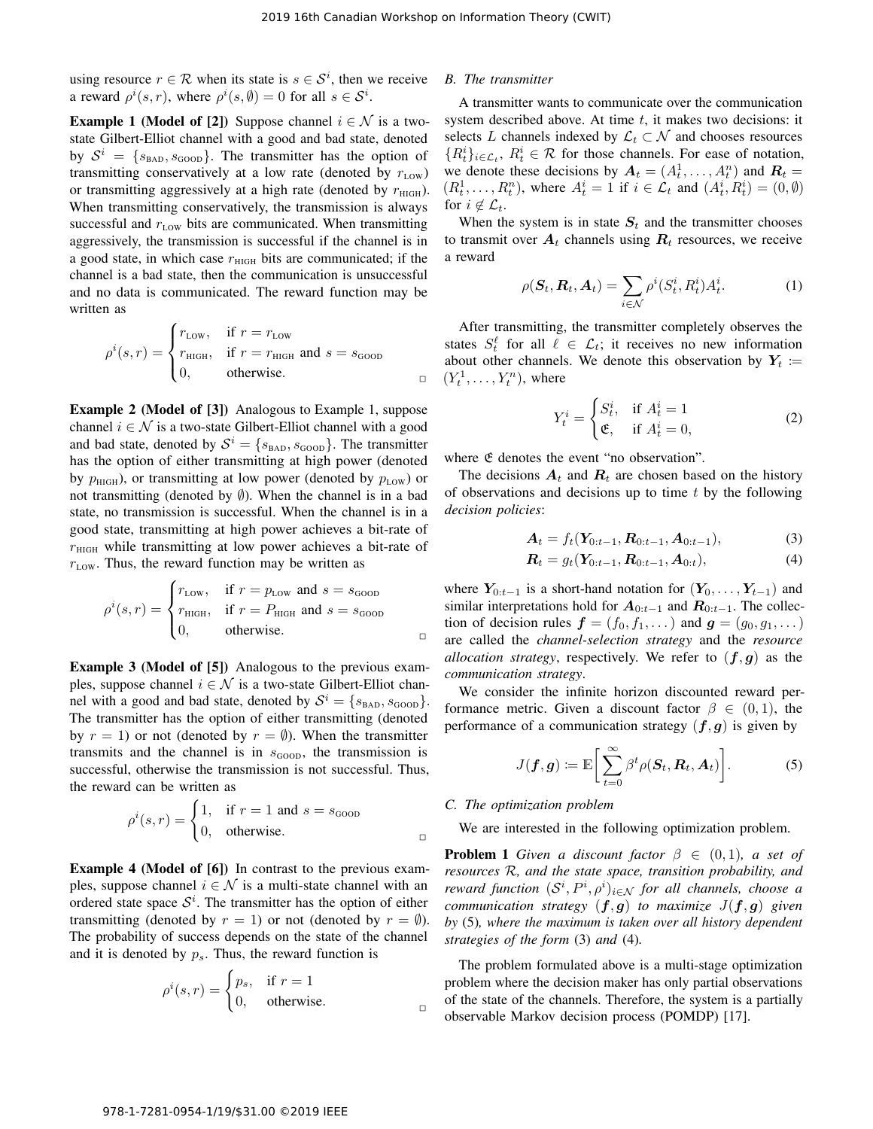using resource  $r \in \mathcal{R}$  when its state is  $s \in \mathcal{S}^i$ , then we receive a reward  $\rho^{i}(s, r)$ , where  $\rho^{i}(s, \emptyset) = 0$  for all  $s \in S^{i}$ .

**Example 1 (Model of [2])** Suppose channel  $i \in \mathcal{N}$  is a twostate Gilbert-Elliot channel with a good and bad state, denoted by  $S^i = \{s_{\text{BAD}}, s_{\text{GOOD}}\}$ . The transmitter has the option of transmitting conservatively at a low rate (denoted by  $r_{\text{Low}}$ ) or transmitting aggressively at a high rate (denoted by  $r_{\text{HIGH}}$ ). When transmitting conservatively, the transmission is always successful and  $r_{\text{Low}}$  bits are communicated. When transmitting aggressively, the transmission is successful if the channel is in a good state, in which case  $r<sub>HIGH</sub>$  bits are communicated; if the channel is a bad state, then the communication is unsuccessful and no data is communicated. The reward function may be written as

$$
\rho^{i}(s,r) = \begin{cases} r_{\text{LOW}}, & \text{if } r = r_{\text{LOW}} \\ r_{\text{HIGH}}, & \text{if } r = r_{\text{HIGH}} \text{ and } s = s_{\text{GOOD}} \\ 0, & \text{otherwise.} \end{cases}
$$

Example 2 (Model of [3]) Analogous to Example 1, suppose channel  $i \in \mathcal{N}$  is a two-state Gilbert-Elliot channel with a good and bad state, denoted by  $S^i = \{s_{\text{BAD}}, s_{\text{GOOD}}\}$ . The transmitter has the option of either transmitting at high power (denoted by  $p_{\text{HIGH}}$ ), or transmitting at low power (denoted by  $p_{\text{LOW}}$ ) or not transmitting (denoted by  $\emptyset$ ). When the channel is in a bad state, no transmission is successful. When the channel is in a good state, transmitting at high power achieves a bit-rate of  $r<sub>High</sub>$  while transmitting at low power achieves a bit-rate of  $r_{\text{Low}}$ . Thus, the reward function may be written as

$$
\rho^{i}(s,r) = \begin{cases} r_{\text{LOW}}, & \text{if } r = p_{\text{LOW}} \text{ and } s = s_{\text{GOOD}} \\ r_{\text{HIGH}}, & \text{if } r = P_{\text{HIGH}} \text{ and } s = s_{\text{GOOD}} \\ 0, & \text{otherwise.} \end{cases}
$$

Example 3 (Model of [5]) Analogous to the previous examples, suppose channel  $i \in \mathcal{N}$  is a two-state Gilbert-Elliot channel with a good and bad state, denoted by  $S^i = \{s_{\text{BAD}}, s_{\text{GOOD}}\}.$ The transmitter has the option of either transmitting (denoted by  $r = 1$ ) or not (denoted by  $r = \emptyset$ ). When the transmitter transmits and the channel is in  $s_{\text{GOOD}}$ , the transmission is successful, otherwise the transmission is not successful. Thus, the reward can be written as

$$
\rho^{i}(s,r) = \begin{cases} 1, & \text{if } r = 1 \text{ and } s = s_{\text{GOOD}} \\ 0, & \text{otherwise.} \end{cases}
$$

Example 4 (Model of [6]) In contrast to the previous examples, suppose channel  $i \in \mathcal{N}$  is a multi-state channel with an ordered state space  $S<sup>i</sup>$ . The transmitter has the option of either transmitting (denoted by  $r = 1$ ) or not (denoted by  $r = \emptyset$ ). The probability of success depends on the state of the channel and it is denoted by  $p_s$ . Thus, the reward function is

$$
\rho^{i}(s,r) = \begin{cases} p_s, & \text{if } r = 1 \\ 0, & \text{otherwise.} \end{cases}
$$

## *B. The transmitter*

A transmitter wants to communicate over the communication system described above. At time  $t$ , it makes two decisions: it selects L channels indexed by  $\mathcal{L}_t \subset \mathcal{N}$  and chooses resources  ${R_t^i}_{i \in \mathcal{L}_t}$ ,  $R_t^i \in \mathcal{R}$  for those channels. For ease of notation, we denote these decisions by  $A_t = (A_t^1, \dots, A_t^n)$  and  $R_t =$  $(R_t^1, \ldots, R_t^n)$ , where  $A_t^i = 1$  if  $i \in \mathcal{L}_t$  and  $(A_t^i, R_t^i) = (0, \emptyset)$ for  $i \notin \mathcal{L}_t$ .

When the system is in state  $S_t$  and the transmitter chooses to transmit over  $A_t$  channels using  $R_t$  resources, we receive a reward

$$
\rho(\boldsymbol{S}_t, \boldsymbol{R}_t, \boldsymbol{A}_t) = \sum_{i \in \mathcal{N}} \rho^i(S_t^i, R_t^i) A_t^i.
$$
 (1)

After transmitting, the transmitter completely observes the states  $S_t^{\ell}$  for all  $\ell \in \mathcal{L}_t$ ; it receives no new information about other channels. We denote this observation by  $Y_t$  :=  $(Y_t^1, \ldots, Y_t^n)$ , where

$$
Y_t^i = \begin{cases} S_t^i, & \text{if } A_t^i = 1\\ \mathfrak{E}, & \text{if } A_t^i = 0, \end{cases}
$$
 (2)

where  $\mathfrak E$  denotes the event "no observation".

The decisions  $A_t$  and  $R_t$  are chosen based on the history of observations and decisions up to time  $t$  by the following *decision policies*:

$$
\mathbf{A}_t = f_t(\mathbf{Y}_{0:t-1}, \mathbf{R}_{0:t-1}, \mathbf{A}_{0:t-1}),
$$
\n(3)

$$
\boldsymbol{R}_t = g_t(\boldsymbol{Y}_{0:t-1}, \boldsymbol{R}_{0:t-1}, \boldsymbol{A}_{0:t}), \tag{4}
$$

where  $Y_{0:t-1}$  is a short-hand notation for  $(Y_0, \ldots, Y_{t-1})$  and similar interpretations hold for  $A_{0:t-1}$  and  $R_{0:t-1}$ . The collection of decision rules  $\mathbf{f} = (f_0, f_1, \dots)$  and  $\mathbf{g} = (g_0, g_1, \dots)$ are called the *channel-selection strategy* and the *resource allocation strategy*, respectively. We refer to  $(f, g)$  as the *communication strategy*.

We consider the infinite horizon discounted reward performance metric. Given a discount factor  $\beta \in (0,1)$ , the performance of a communication strategy  $(f, g)$  is given by

$$
J(\boldsymbol{f},\boldsymbol{g}) \coloneqq \mathbb{E}\bigg[\sum_{t=0}^{\infty} \beta^t \rho(\boldsymbol{S}_t,\boldsymbol{R}_t,\boldsymbol{A}_t)\bigg].
$$
 (5)

### *C. The optimization problem*

We are interested in the following optimization problem.

**Problem 1** *Given a discount factor*  $\beta \in (0,1)$ *, a set of resources* R*, and the state space, transition probability, and reward function*  $(S^i, P^i, \rho^i)_{i \in \mathcal{N}}$  *for all channels, choose a communication strategy*  $(f, g)$  *to maximize*  $J(f, g)$  *given by* (5)*, where the maximum is taken over all history dependent strategies of the form* (3) *and* (4)*.*

The problem formulated above is a multi-stage optimization problem where the decision maker has only partial observations of the state of the channels. Therefore, the system is a partially observable Markov decision process (POMDP) [17].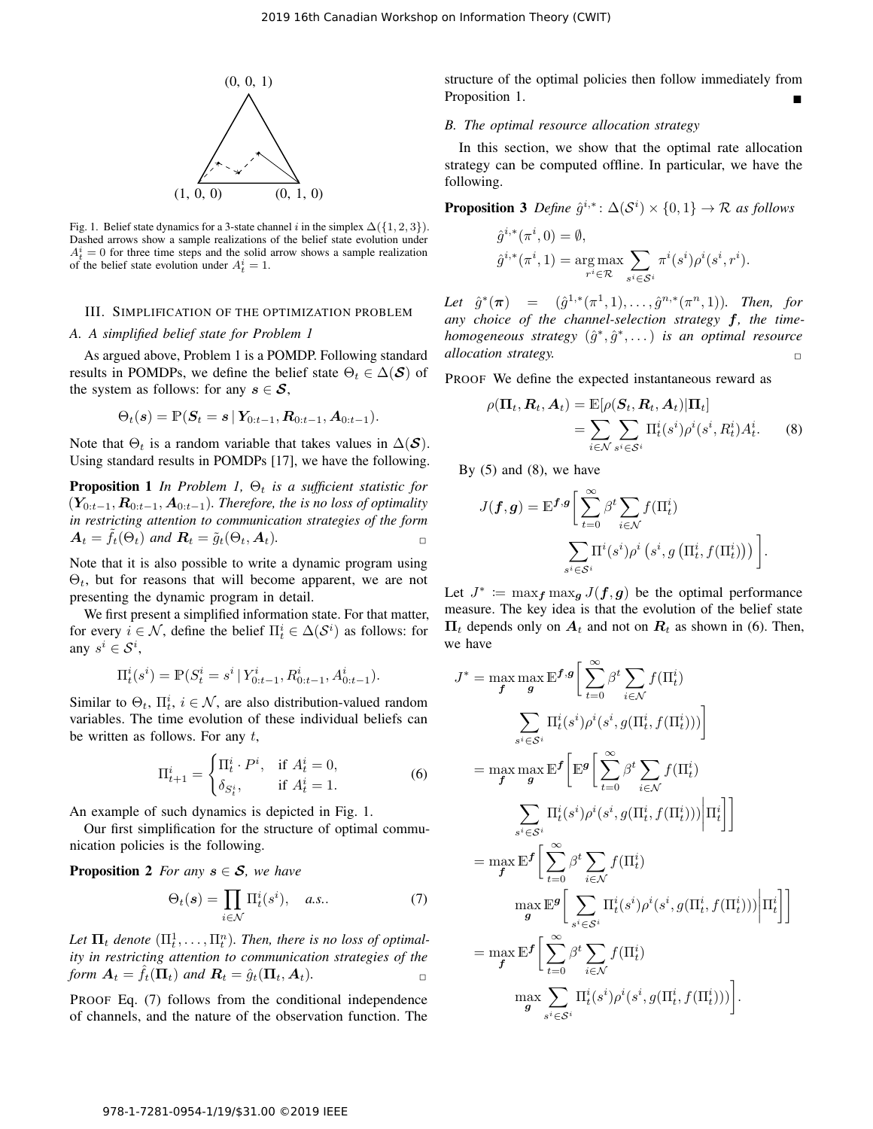

Fig. 1. Belief state dynamics for a 3-state channel i in the simplex  $\Delta({1, 2, 3})$ . Dashed arrows show a sample realizations of the belief state evolution under  $A_t^i = 0$  for three time steps and the solid arrow shows a sample realization of the belief state evolution under  $A_t^i = 1$ .

### III. SIMPLIFICATION OF THE OPTIMIZATION PROBLEM

#### *A. A simplified belief state for Problem 1*

As argued above, Problem 1 is a POMDP. Following standard results in POMDPs, we define the belief state  $\Theta_t \in \Delta(\mathcal{S})$  of the system as follows: for any  $s \in \mathcal{S}$ ,

$$
\Theta_t(\boldsymbol{s}) = \mathbb{P}(\boldsymbol{S}_t = \boldsymbol{s} \,|\, \boldsymbol{Y}_{0:t-1}, \boldsymbol{R}_{0:t-1}, \boldsymbol{A}_{0:t-1}).
$$

Note that  $\Theta_t$  is a random variable that takes values in  $\Delta(\mathcal{S})$ . Using standard results in POMDPs [17], we have the following.

**Proposition 1** *In Problem 1,*  $\Theta_t$  *is a sufficient statistic for*  $(Y_{0:t-1}, R_{0:t-1}, A_{0:t-1})$ *. Therefore, the is no loss of optimality in restricting attention to communication strategies of the form*  $A_t = f_t(\Theta_t)$  and  $\mathbf{R}_t = \tilde{g}_t(\Theta_t, A_t)$ .

Note that it is also possible to write a dynamic program using  $\Theta_t$ , but for reasons that will become apparent, we are not presenting the dynamic program in detail.

We first present a simplified information state. For that matter, for every  $i \in \mathcal{N}$ , define the belief  $\Pi_t^i \in \Delta(\mathcal{S}^i)$  as follows: for any  $s^i \in \mathcal{S}^i$ ,

$$
\Pi_t^i(s^i) = \mathbb{P}(S_t^i = s^i \,|\, Y_{0:t-1}^i, R_{0:t-1}^i, A_{0:t-1}^i).
$$

Similar to  $\Theta_t$ ,  $\Pi_t^i$ ,  $i \in \mathcal{N}$ , are also distribution-valued random variables. The time evolution of these individual beliefs can be written as follows. For any  $t$ ,

$$
\Pi_{t+1}^i = \begin{cases} \Pi_t^i \cdot P^i, & \text{if } A_t^i = 0, \\ \delta_{S_t^i}, & \text{if } A_t^i = 1. \end{cases}
$$
 (6)

An example of such dynamics is depicted in Fig. 1.

Our first simplification for the structure of optimal communication policies is the following.

**Proposition 2** *For any*  $s \in S$ *, we have* 

$$
\Theta_t(s) = \prod_{i \in \mathcal{N}} \Pi_t^i(s^i), \quad a.s.. \tag{7}
$$

Let  $\Pi_t$  denote  $(\Pi_t^1, \ldots, \Pi_t^n)$ . Then, there is no loss of optimal*ity in restricting attention to communication strategies of the form*  $A_t = \hat{f}_t(\Pi_t)$  *and*  $R_t = \hat{g}_t(\Pi_t, A_t)$ .

PROOF Eq. (7) follows from the conditional independence of channels, and the nature of the observation function. The

structure of the optimal policies then follow immediately from Proposition 1.

#### *B. The optimal resource allocation strategy*

In this section, we show that the optimal rate allocation strategy can be computed offline. In particular, we have the following.

**Proposition 3** Define  $\hat{g}^{i,*}$ :  $\Delta(\mathcal{S}^i) \times \{0,1\} \rightarrow \mathcal{R}$  as follows

$$
\hat{g}^{i,*}(\pi^i, 0) = \emptyset, \n\hat{g}^{i,*}(\pi^i, 1) = \underset{r^i \in \mathcal{R}}{\arg \max} \sum_{s^i \in \mathcal{S}^i} \pi^i(s^i) \rho^i(s^i, r^i).
$$

Let  $\hat{g}^*(\pi) = (\hat{g}^{1,*}(\pi^1, 1), \ldots, \hat{g}^{n,*}(\pi^n, 1))$ . Then, for *any choice of the channel-selection strategy* f*, the timehomogeneous strategy*  $(\hat{g}^*, \hat{g}^*, \dots)$  *is an optimal resource allocation strategy.* 

PROOF We define the expected instantaneous reward as

$$
\rho(\Pi_t, R_t, A_t) = \mathbb{E}[\rho(S_t, R_t, A_t)|\Pi_t]
$$
  
= 
$$
\sum_{i \in \mathcal{N}} \sum_{s^i \in \mathcal{S}^i} \Pi_t^i(s^i) \rho^i(s^i, R_t^i) A_t^i.
$$
 (8)

By  $(5)$  and  $(8)$ , we have

$$
J(\boldsymbol{f}, \boldsymbol{g}) = \mathbb{E}^{\boldsymbol{f}, \boldsymbol{g}} \bigg[ \sum_{t=0}^{\infty} \beta^t \sum_{i \in \mathcal{N}} f(\Pi_t^i) \bigg] \cdot \sum_{s^i \in \mathcal{S}^i} \Pi^i(s^i) \rho^i \left( s^i, g\left( \Pi_t^i, f(\Pi_t^i) \right) \right) \bigg].
$$

Let  $J^* := \max_{f} \max_{g} J(f, g)$  be the optimal performance measure. The key idea is that the evolution of the belief state  $\Pi_t$  depends only on  $A_t$  and not on  $R_t$  as shown in (6). Then, we have

$$
J^* = \max_{f} \max_{g} \mathbb{E}^{f,g} \bigg[ \sum_{t=0}^{\infty} \beta^t \sum_{i \in \mathcal{N}} f(\Pi_t^i)
$$
  

$$
\sum_{s^i \in S^i} \Pi_t^i(s^i) \rho^i(s^i, g(\Pi_t^i, f(\Pi_t^i))) \bigg]
$$
  

$$
= \max_{f} \max_{g} \mathbb{E}^{f} \bigg[ \mathbb{E}^{g} \bigg[ \sum_{t=0}^{\infty} \beta^t \sum_{i \in \mathcal{N}} f(\Pi_t^i)
$$
  

$$
\sum_{s^i \in S^i} \Pi_t^i(s^i) \rho^i(s^i, g(\Pi_t^i, f(\Pi_t^i))) \bigg| \Pi_t^i \bigg] \bigg]
$$
  

$$
= \max_{f} \mathbb{E}^{f} \bigg[ \sum_{t=0}^{\infty} \beta^t \sum_{i \in \mathcal{N}} f(\Pi_t^i)
$$
  

$$
\max_{g} \mathbb{E}^{g} \bigg[ \sum_{s^i \in S^i} \Pi_t^i(s^i) \rho^i(s^i, g(\Pi_t^i, f(\Pi_t^i))) \bigg| \Pi_t^i \bigg] \bigg]
$$
  

$$
= \max_{f} \mathbb{E}^{f} \bigg[ \sum_{t=0}^{\infty} \beta^t \sum_{i \in \mathcal{N}} f(\Pi_t^i)
$$
  

$$
\max_{g} \sum_{s^i \in S^i} \Pi_t^i(s^i) \rho^i(s^i, g(\Pi_t^i, f(\Pi_t^i))) \bigg].
$$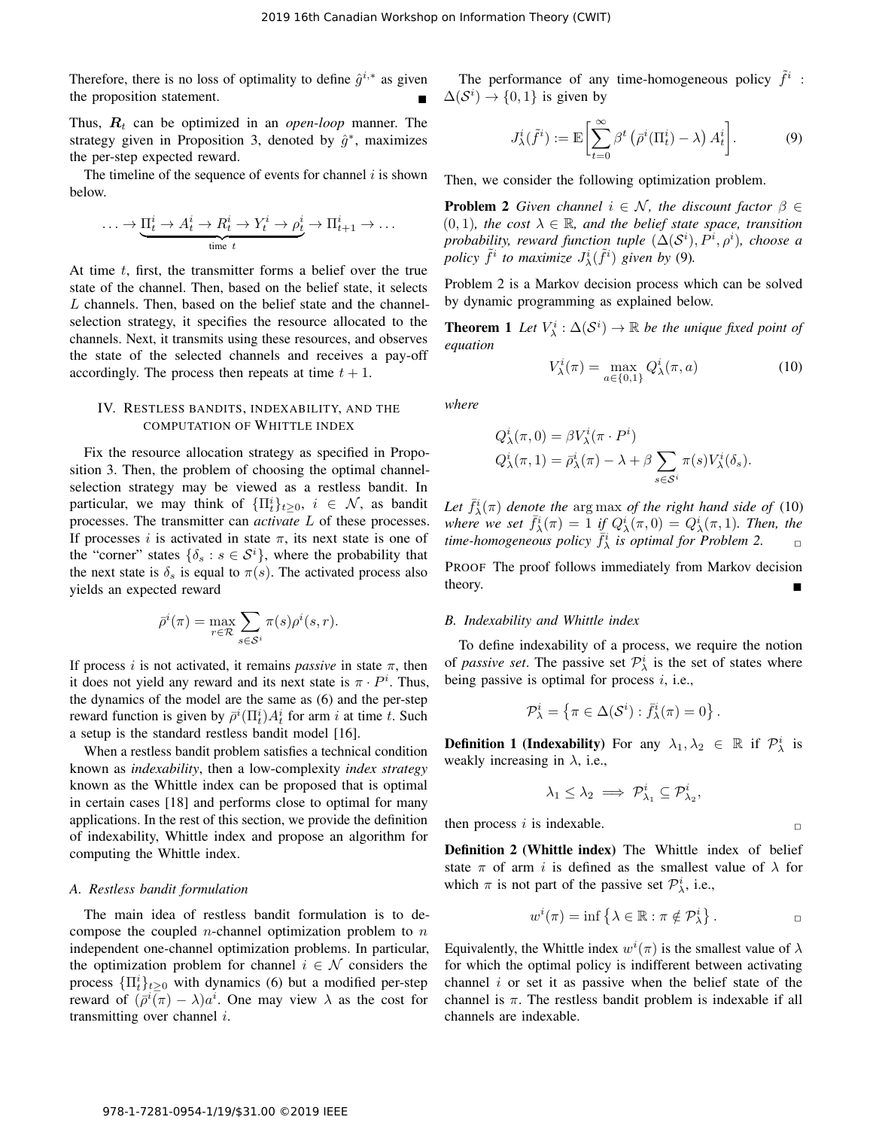Therefore, there is no loss of optimality to define  $\hat{g}^{i,*}$  as given the proposition statement.

Thus,  $R_t$  can be optimized in an *open-loop* manner. The strategy given in Proposition 3, denoted by  $\hat{g}^*$ , maximizes the per-step expected reward.

The timeline of the sequence of events for channel  $i$  is shown below.

$$
\ldots \to \underbrace{\Pi_t^i \to A_t^i \to R_t^i \to Y_t^i \to \rho_t^i}_{\text{time } t} \to \Pi_{t+1}^i \to \ldots
$$

At time  $t$ , first, the transmitter forms a belief over the true state of the channel. Then, based on the belief state, it selects L channels. Then, based on the belief state and the channelselection strategy, it specifies the resource allocated to the channels. Next, it transmits using these resources, and observes the state of the selected channels and receives a pay-off accordingly. The process then repeats at time  $t + 1$ .

## IV. RESTLESS BANDITS, INDEXABILITY, AND THE COMPUTATION OF WHITTLE INDEX

Fix the resource allocation strategy as specified in Proposition 3. Then, the problem of choosing the optimal channelselection strategy may be viewed as a restless bandit. In particular, we may think of  $\{\Pi_t^i\}_{t\geq0}$ ,  $i \in \mathcal{N}$ , as bandit processes. The transmitter can *activate* L of these processes. If processes i is activated in state  $\pi$ , its next state is one of the "corner" states  $\{\delta_s : s \in S^i\}$ , where the probability that the next state is  $\delta_s$  is equal to  $\pi(s)$ . The activated process also yields an expected reward

$$
\bar{\rho}^i(\pi) = \max_{r \in \mathcal{R}} \sum_{s \in \mathcal{S}^i} \pi(s) \rho^i(s, r).
$$

If process i is not activated, it remains *passive* in state  $\pi$ , then it does not yield any reward and its next state is  $\pi \cdot P^i$ . Thus, the dynamics of the model are the same as (6) and the per-step reward function is given by  $\bar{\rho}^i(\Pi_t^i) A_t^i$  for arm i at time t. Such a setup is the standard restless bandit model [16].

When a restless bandit problem satisfies a technical condition known as *indexability*, then a low-complexity *index strategy* known as the Whittle index can be proposed that is optimal in certain cases [18] and performs close to optimal for many applications. In the rest of this section, we provide the definition of indexability, Whittle index and propose an algorithm for computing the Whittle index.

## *A. Restless bandit formulation*

The main idea of restless bandit formulation is to decompose the coupled *n*-channel optimization problem to *n* independent one-channel optimization problems. In particular, the optimization problem for channel  $i \in \mathcal{N}$  considers the process  $\{\Pi_t^i\}_{t\geq 0}$  with dynamics (6) but a modified per-step reward of  $(\bar{\rho}^i(\bar{\pi}) - \lambda)a^i$ . One may view  $\lambda$  as the cost for transmitting over channel  $i$ .

The performance of any time-homogeneous policy  $\tilde{f}^i$ :  $\Delta(\mathcal{S}^i) \rightarrow \{0, 1\}$  is given by

$$
J^i_{\lambda}(\tilde{f}^i) := \mathbb{E}\left[\sum_{t=0}^{\infty} \beta^t \left(\bar{\rho}^i(\Pi^i_t) - \lambda\right) A^i_t\right].\tag{9}
$$

Then, we consider the following optimization problem.

**Problem 2** *Given channel*  $i \in \mathcal{N}$ *, the discount factor*  $\beta \in$  $(0, 1)$ *, the cost*  $\lambda \in \mathbb{R}$ *, and the belief state space, transition probability, reward function tuple*  $(\Delta(\mathcal{S}^i), P^i, \rho^i)$ *, choose a* policy  $\tilde{f}^i$  to maximize  $J^i_\lambda(\tilde{f}^i)$  given by (9).

Problem 2 is a Markov decision process which can be solved by dynamic programming as explained below.

**Theorem 1** Let  $V^i_\lambda : \Delta(S^i) \to \mathbb{R}$  be the unique fixed point of *equation*

$$
V_{\lambda}^{i}(\pi) = \max_{a \in \{0,1\}} Q_{\lambda}^{i}(\pi, a)
$$
 (10)

*where*

$$
Q^i_{\lambda}(\pi,0) = \beta V^i_{\lambda}(\pi \cdot P^i)
$$
  
\n
$$
Q^i_{\lambda}(\pi,1) = \bar{\rho}^i_{\lambda}(\pi) - \lambda + \beta \sum_{s \in S^i} \pi(s) V^i_{\lambda}(\delta_s).
$$

Let  $\bar{f}^i_\lambda(\pi)$  denote the arg max of the right hand side of (10) where we set  $\bar{f}_{\lambda}^{i}(\pi) = 1$  if  $Q_{\lambda}^{i}(\pi,0) = Q_{\lambda}^{i}(\pi,1)$ *. Then, the*  $time$ -homogeneous policy  $f_{\lambda}^{i}$  is optimal for Problem 2.  $\Box$ 

PROOF The proof follows immediately from Markov decision theory.

## *B. Indexability and Whittle index*

To define indexability of a process, we require the notion of *passive set*. The passive set  $\mathcal{P}_{\lambda}^{i}$  is the set of states where being passive is optimal for process  $i$ , i.e.,

$$
\mathcal{P}^i_\lambda = \left\{ \pi \in \Delta(\mathcal{S}^i) : \bar{f}^i_\lambda(\pi) = 0 \right\}.
$$

**Definition 1 (Indexability)** For any  $\lambda_1, \lambda_2 \in \mathbb{R}$  if  $\mathcal{P}^i_{\lambda}$  is weakly increasing in  $\lambda$ , i.e.,

$$
\lambda_1 \leq \lambda_2 \implies \mathcal{P}^i_{\lambda_1} \subseteq \mathcal{P}^i_{\lambda_2},
$$

then process i is indexable.  $\Box$ 

Definition 2 (Whittle index) The Whittle index of belief state  $\pi$  of arm i is defined as the smallest value of  $\lambda$  for which  $\pi$  is not part of the passive set  $\mathcal{P}_{\lambda}^{i}$ , i.e.,

$$
w^{i}(\pi) = \inf \left\{ \lambda \in \mathbb{R} : \pi \notin \mathcal{P}_{\lambda}^{i} \right\}.
$$

Equivalently, the Whittle index  $w^{i}(\pi)$  is the smallest value of  $\lambda$ for which the optimal policy is indifferent between activating channel  $i$  or set it as passive when the belief state of the channel is  $\pi$ . The restless bandit problem is indexable if all channels are indexable.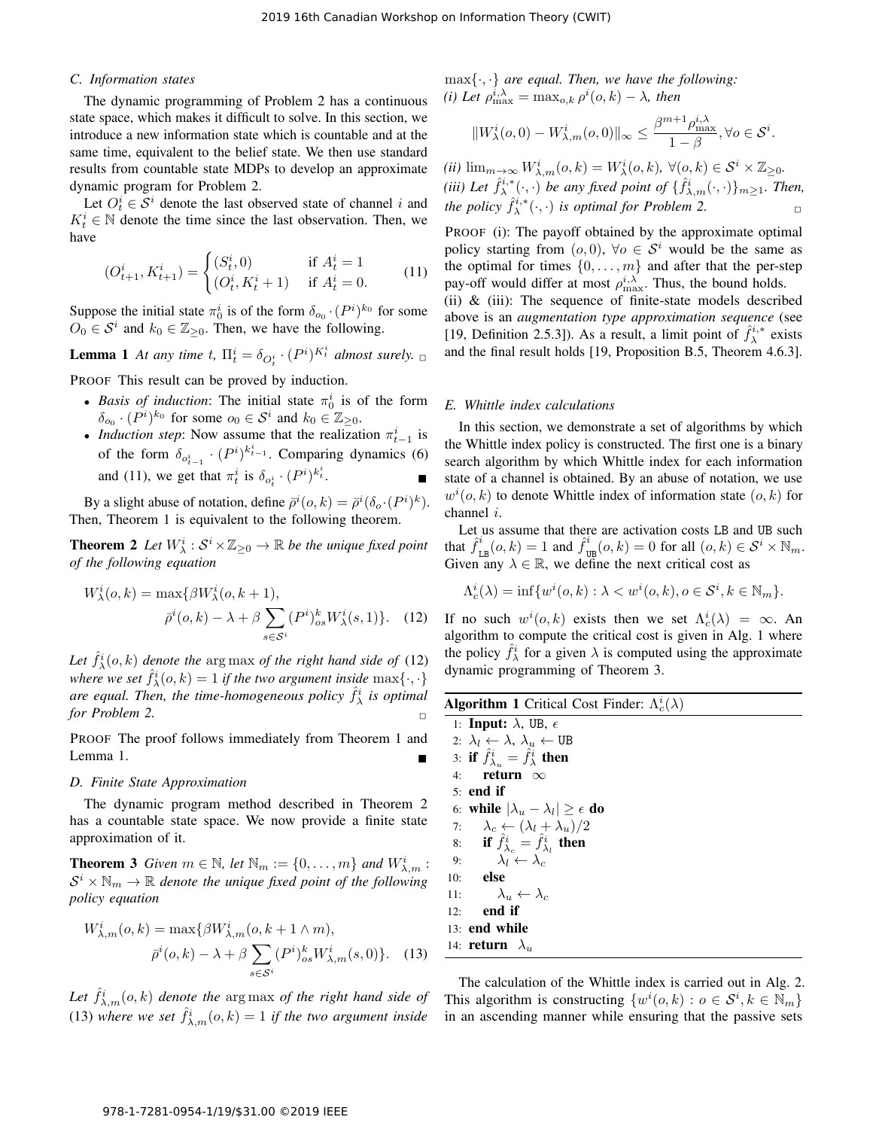## *C. Information states*

The dynamic programming of Problem 2 has a continuous state space, which makes it difficult to solve. In this section, we introduce a new information state which is countable and at the same time, equivalent to the belief state. We then use standard results from countable state MDPs to develop an approximate dynamic program for Problem 2.

Let  $O_t^i \in \mathcal{S}^i$  denote the last observed state of channel i and  $K_t^i \in \mathbb{N}$  denote the time since the last observation. Then, we have

$$
(O_{t+1}^i, K_{t+1}^i) = \begin{cases} (S_t^i, 0) & \text{if } A_t^i = 1\\ (O_t^i, K_t^i + 1) & \text{if } A_t^i = 0. \end{cases}
$$
 (11)

Suppose the initial state  $\pi_0^i$  is of the form  $\delta_{o_0} \cdot (P^i)^{k_0}$  for some  $O_0 \in S^i$  and  $k_0 \in \mathbb{Z}_{\geq 0}$ . Then, we have the following.

**Lemma 1** At any time t,  $\Pi_t^i = \delta_{O_t^i} \cdot (P^i)^{K_t^i}$  almost surely.  $\Box$ 

PROOF This result can be proved by induction.

- *Basis of induction*: The initial state  $\pi_0^i$  is of the form  $\delta_{o_0} \cdot (P^i)^{k_0}$  for some  $o_0 \in S^i$  and  $k_0 \in \mathbb{Z}_{\geq 0}$ .
- *Induction step*: Now assume that the realization  $\pi_{t-1}^i$  is of the form  $\delta_{o_{t-1}^i} \cdot (P^i)^{k_{t-1}^i}$ . Comparing dynamics (6) and (11), we get that  $\pi_t^i$  is  $\delta_{o_t^i} \cdot (P^i)^{k_t^i}$  $t$  .

By a slight abuse of notation, define  $\bar{\rho}^i(o, k) = \bar{\rho}^i(\delta_o \cdot (P^i)^k)$ . Then, Theorem 1 is equivalent to the following theorem.

**Theorem 2** Let  $W^i_\lambda : \mathcal{S}^i \times \mathbb{Z}_{\geq 0} \to \mathbb{R}$  be the unique fixed point *of the following equation*

$$
W^i_\lambda(o,k) = \max\{\beta W^i_\lambda(o,k+1),
$$
  
\n
$$
\bar{\rho}^i(o,k) - \lambda + \beta \sum_{s \in \mathcal{S}^i} (P^i)^k_{os} W^i_\lambda(s,1)\}.
$$
 (12)

Let  $\hat{f}^i_\lambda(o, k)$  denote the arg max of the right hand side of (12) where we set  $\hat{f}^i_\lambda(o, k) = 1$  *if the two argument inside*  $\max\{\cdot, \cdot\}$ are equal. Then, the time-homogeneous policy  $\hat{f}^i_\lambda$  is optimal *for Problem 2.* 

PROOF The proof follows immediately from Theorem 1 and Lemma 1.

#### *D. Finite State Approximation*

The dynamic program method described in Theorem 2 has a countable state space. We now provide a finite state approximation of it.

**Theorem 3** *Given*  $m \in \mathbb{N}$ , let  $\mathbb{N}_m := \{0, \ldots, m\}$  and  $W^i_{\lambda,m}$ :  $S^i \times \mathbb{N}_m \to \mathbb{R}$  denote the unique fixed point of the following *policy equation*

$$
W_{\lambda,m}^i(o,k) = \max\{\beta W_{\lambda,m}^i(o,k+1 \wedge m),
$$

$$
\bar{\rho}^i(o,k) - \lambda + \beta \sum_{s \in \mathcal{S}^i} (P^i)_{os}^k W_{\lambda,m}^i(s,0)\}.
$$
 (13)

Let  $\hat{f}_{\lambda,m}^i(o,k)$  denote the  $\arg \max$  of the right hand side of (13) where we set  $\hat{f}_{\lambda,m}^i(o,k) = 1$  if the two argument inside max{·, ·} *are equal. Then, we have the following:* (*i*) Let  $\rho_{\max}^{i,\lambda} = \max_{o,k} \rho^{i}(o,k) - \lambda$ , then

$$
||W^i_\lambda(o,0)-W^i_{\lambda,m}(o,0)||_\infty\leq \frac{\beta^{m+1}\rho^{i,\lambda}_{\max}}{1-\beta}, \forall o\in\mathcal{S}^i.
$$

 $(iii)$   $\lim_{m\to\infty} W^i_{\lambda,m}(o,k) = W^i_{\lambda}(o,k), \ \forall (o,k) \in \mathcal{S}^i \times \mathbb{Z}_{\geq 0}.$ (*iii*) Let  $\hat{f}_{\lambda}^{i,*}(\cdot, \cdot)$  be any fixed point of  $\{\hat{f}_{\lambda,m}^{i}(\cdot, \cdot)\}_{m\geq 1}$ . Then, *the policy*  $\hat{f}_{\lambda}^{i,*}(\cdot,\cdot)$  *is optimal for Problem 2.* 

PROOF (i): The payoff obtained by the approximate optimal policy starting from  $(o, 0)$ ,  $\forall o \in S^i$  would be the same as the optimal for times  $\{0, \ldots, m\}$  and after that the per-step pay-off would differ at most  $\rho_{\text{max}}^{i,\lambda}$ . Thus, the bound holds.

(ii)  $\&$  (iii): The sequence of finite-state models described above is an *augmentation type approximation sequence* (see [19, Definition 2.5.3]). As a result, a limit point of  $\hat{f}_{\lambda}^{i,*}$  exists and the final result holds [19, Proposition B.5, Theorem 4.6.3].

#### *E. Whittle index calculations*

In this section, we demonstrate a set of algorithms by which the Whittle index policy is constructed. The first one is a binary search algorithm by which Whittle index for each information state of a channel is obtained. By an abuse of notation, we use  $w^{i}(o, k)$  to denote Whittle index of information state  $(o, k)$  for channel i.

Let us assume that there are activation costs LB and UB such that  $\hat{f}_{\text{LB}}^i(o, k) = 1$  and  $\hat{f}_{\text{UB}}^i(o, k) = 0$  for all  $(o, k) \in \mathcal{S}^i \times \mathbb{N}_m$ . Given any  $\lambda \in \mathbb{R}$ , we define the next critical cost as

$$
\Lambda_c^i(\lambda)=\inf\{w^i(o,k): \lambda < w^i(o,k), o\in \mathcal{S}^i, k\in \mathbb{N}_m\}.
$$

If no such  $w^i(o, k)$  exists then we set  $\Lambda_c^i(\lambda) = \infty$ . An algorithm to compute the critical cost is given in Alg. 1 where the policy  $\hat{f}^i_\lambda$  for a given  $\lambda$  is computed using the approximate dynamic programming of Theorem 3.

| <b>Algorithm 1</b> Critical Cost Finder: $\Lambda_c^i(\lambda)$ |                                                                      |
|-----------------------------------------------------------------|----------------------------------------------------------------------|
|                                                                 | 1: <b>Input:</b> $\lambda$ , UB, $\epsilon$                          |
|                                                                 | 2: $\lambda_l \leftarrow \lambda$ , $\lambda_u \leftarrow \text{UB}$ |
|                                                                 | 3: if $\hat{f}_{\lambda_n}^i = \hat{f}_{\lambda}^i$ then             |
| 4:                                                              | return $\infty$                                                      |
|                                                                 | $5:$ end if                                                          |
|                                                                 | 6: while $ \lambda_u - \lambda_l  \geq \epsilon$ do                  |
|                                                                 | 7: $\lambda_c \leftarrow (\lambda_l + \lambda_u)/2$                  |
|                                                                 | 8: if $\hat{f}^i_{\lambda} = \hat{f}^i_{\lambda}$ , then             |
|                                                                 | 9: $\lambda_l \leftarrow \lambda_c$                                  |
|                                                                 | $10:$ else                                                           |
|                                                                 | 11: $\lambda_u \leftarrow \lambda_c$                                 |
| 12:                                                             | end if                                                               |
|                                                                 | 13: end while                                                        |
|                                                                 | 14: <b>return</b> $\lambda_u$                                        |
|                                                                 |                                                                      |

The calculation of the Whittle index is carried out in Alg. 2. This algorithm is constructing  $\{w^i(o, k) : o \in \mathcal{S}^i, k \in \mathbb{N}_m\}$ in an ascending manner while ensuring that the passive sets